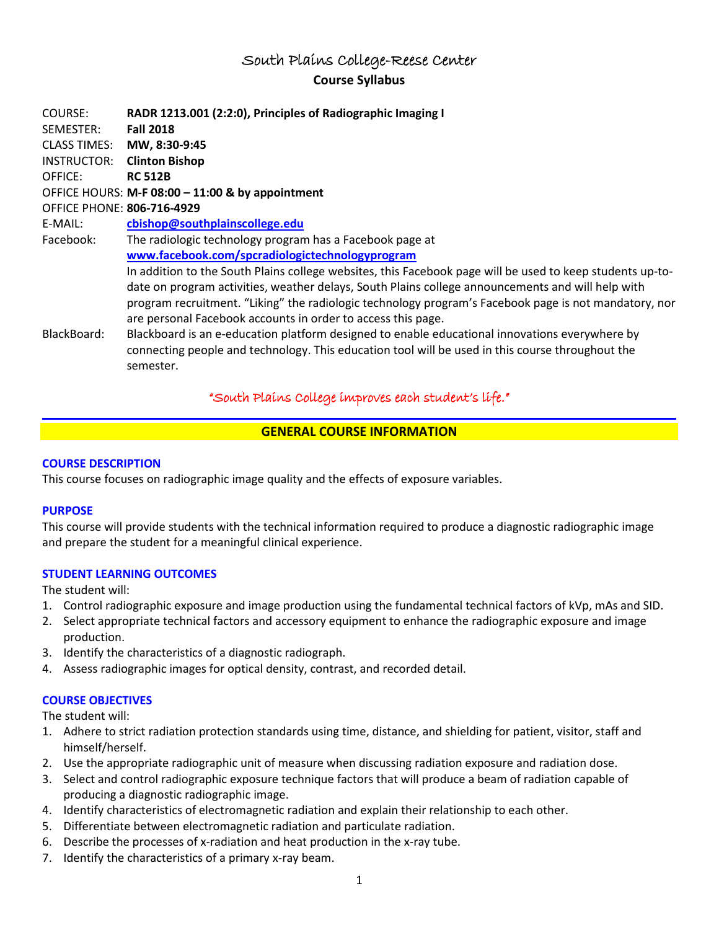## South Plains College-Reese Center **Course Syllabus**

COURSE: **RADR 1213.001 (2:2:0), Principles of Radiographic Imaging I** SEMESTER: **Fall 2018** CLASS TIMES: **MW, 8:30-9:45** INSTRUCTOR: **Clinton Bishop** OFFICE: **RC 512B** OFFICE HOURS: **M-F 08:00 – 11:00 & by appointment** OFFICE PHONE: **806-716-4929** E-MAIL: **cbishop@southplainscollege.edu** Facebook: The radiologic technology program has a Facebook page at **[www.facebook.com/spcradiologictechnologyprogram](http://www.facebook.com/spcradiologictechnologyprogram)** In addition to the South Plains college websites, this Facebook page will be used to keep students up-todate on program activities, weather delays, South Plains college announcements and will help with program recruitment. "Liking" the radiologic technology program's Facebook page is not mandatory, nor are personal Facebook accounts in order to access this page. BlackBoard: Blackboard is an e-education platform designed to enable educational innovations everywhere by connecting people and technology. This education tool will be used in this course throughout the semester.

## "South Plains College improves each student's life."

### **GENERAL COURSE INFORMATION**

#### **COURSE DESCRIPTION**

This course focuses on radiographic image quality and the effects of exposure variables.

#### **PURPOSE**

This course will provide students with the technical information required to produce a diagnostic radiographic image and prepare the student for a meaningful clinical experience.

### **STUDENT LEARNING OUTCOMES**

The student will:

- 1. Control radiographic exposure and image production using the fundamental technical factors of kVp, mAs and SID.
- 2. Select appropriate technical factors and accessory equipment to enhance the radiographic exposure and image production.
- 3. Identify the characteristics of a diagnostic radiograph.
- 4. Assess radiographic images for optical density, contrast, and recorded detail.

### **COURSE OBJECTIVES**

- 1. Adhere to strict radiation protection standards using time, distance, and shielding for patient, visitor, staff and himself/herself.
- 2. Use the appropriate radiographic unit of measure when discussing radiation exposure and radiation dose.
- 3. Select and control radiographic exposure technique factors that will produce a beam of radiation capable of producing a diagnostic radiographic image.
- 4. Identify characteristics of electromagnetic radiation and explain their relationship to each other.
- 5. Differentiate between electromagnetic radiation and particulate radiation.
- 6. Describe the processes of x-radiation and heat production in the x-ray tube.
- 7. Identify the characteristics of a primary x-ray beam.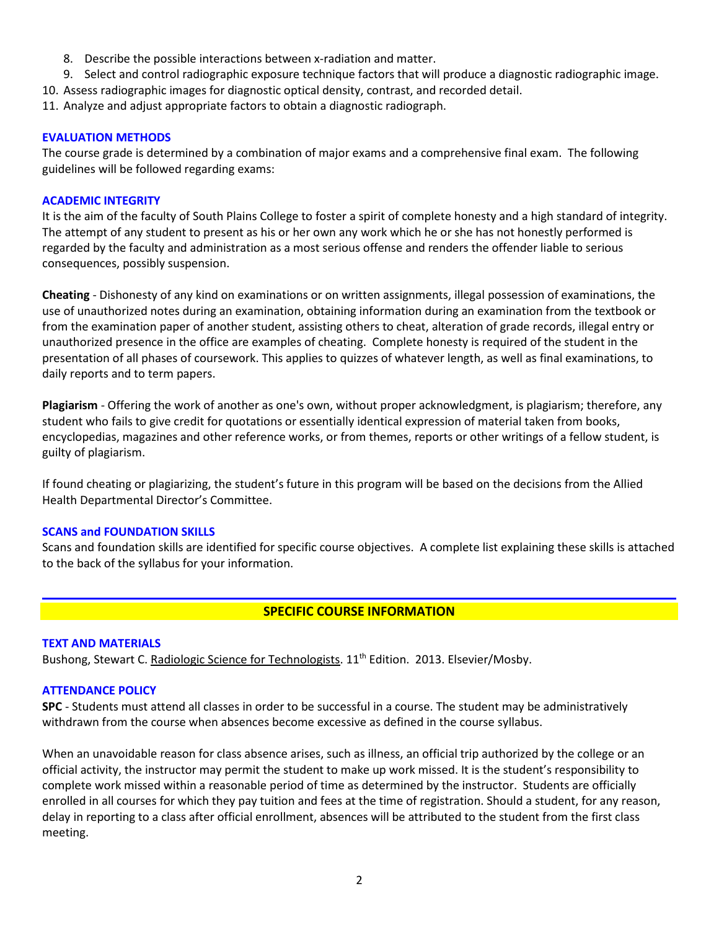- 8. Describe the possible interactions between x-radiation and matter.
- 9. Select and control radiographic exposure technique factors that will produce a diagnostic radiographic image.
- 10. Assess radiographic images for diagnostic optical density, contrast, and recorded detail.
- 11. Analyze and adjust appropriate factors to obtain a diagnostic radiograph.

#### **EVALUATION METHODS**

The course grade is determined by a combination of major exams and a comprehensive final exam. The following guidelines will be followed regarding exams:

### **ACADEMIC INTEGRITY**

It is the aim of the faculty of South Plains College to foster a spirit of complete honesty and a high standard of integrity. The attempt of any student to present as his or her own any work which he or she has not honestly performed is regarded by the faculty and administration as a most serious offense and renders the offender liable to serious consequences, possibly suspension.

**Cheating** - Dishonesty of any kind on examinations or on written assignments, illegal possession of examinations, the use of unauthorized notes during an examination, obtaining information during an examination from the textbook or from the examination paper of another student, assisting others to cheat, alteration of grade records, illegal entry or unauthorized presence in the office are examples of cheating. Complete honesty is required of the student in the presentation of all phases of coursework. This applies to quizzes of whatever length, as well as final examinations, to daily reports and to term papers.

**Plagiarism** - Offering the work of another as one's own, without proper acknowledgment, is plagiarism; therefore, any student who fails to give credit for quotations or essentially identical expression of material taken from books, encyclopedias, magazines and other reference works, or from themes, reports or other writings of a fellow student, is guilty of plagiarism.

If found cheating or plagiarizing, the student's future in this program will be based on the decisions from the Allied Health Departmental Director's Committee.

#### **SCANS and FOUNDATION SKILLS**

Scans and foundation skills are identified for specific course objectives. A complete list explaining these skills is attached to the back of the syllabus for your information.

## **SPECIFIC COURSE INFORMATION**

#### **TEXT AND MATERIALS**

Bushong, Stewart C. Radiologic Science for Technologists. 11<sup>th</sup> Edition. 2013. Elsevier/Mosby.

#### **ATTENDANCE POLICY**

**SPC** - Students must attend all classes in order to be successful in a course. The student may be administratively withdrawn from the course when absences become excessive as defined in the course syllabus.

When an unavoidable reason for class absence arises, such as illness, an official trip authorized by the college or an official activity, the instructor may permit the student to make up work missed. It is the student's responsibility to complete work missed within a reasonable period of time as determined by the instructor. Students are officially enrolled in all courses for which they pay tuition and fees at the time of registration. Should a student, for any reason, delay in reporting to a class after official enrollment, absences will be attributed to the student from the first class meeting.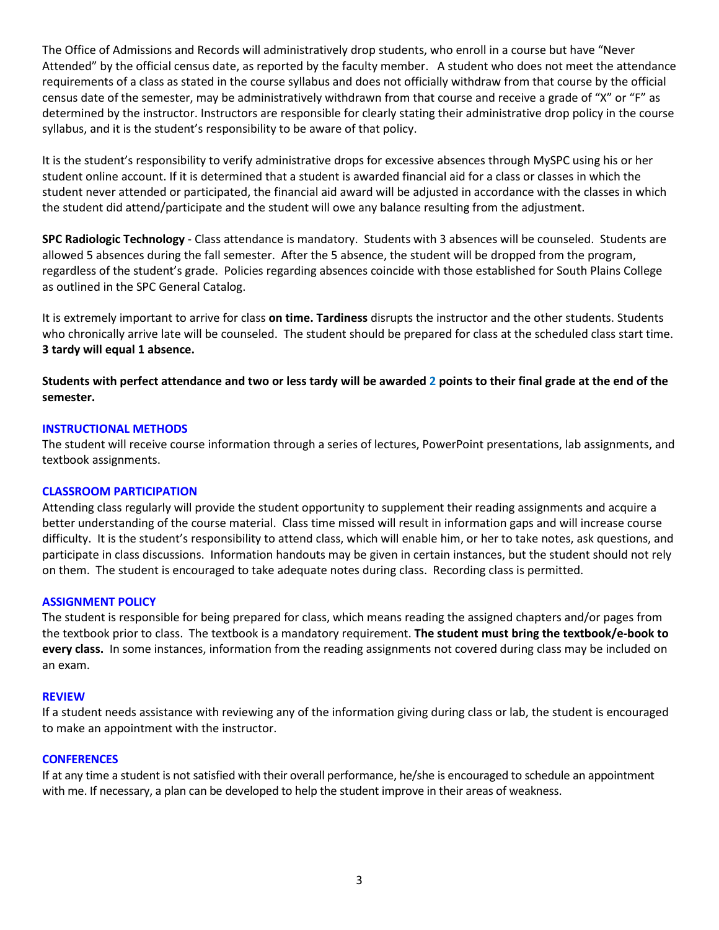The Office of Admissions and Records will administratively drop students, who enroll in a course but have "Never Attended" by the official census date, as reported by the faculty member. A student who does not meet the attendance requirements of a class as stated in the course syllabus and does not officially withdraw from that course by the official census date of the semester, may be administratively withdrawn from that course and receive a grade of "X" or "F" as determined by the instructor. Instructors are responsible for clearly stating their administrative drop policy in the course syllabus, and it is the student's responsibility to be aware of that policy.

It is the student's responsibility to verify administrative drops for excessive absences through MySPC using his or her student online account. If it is determined that a student is awarded financial aid for a class or classes in which the student never attended or participated, the financial aid award will be adjusted in accordance with the classes in which the student did attend/participate and the student will owe any balance resulting from the adjustment.

**SPC Radiologic Technology** - Class attendance is mandatory. Students with 3 absences will be counseled. Students are allowed 5 absences during the fall semester. After the 5 absence, the student will be dropped from the program, regardless of the student's grade. Policies regarding absences coincide with those established for South Plains College as outlined in the SPC General Catalog.

It is extremely important to arrive for class **on time. Tardiness** disrupts the instructor and the other students. Students who chronically arrive late will be counseled. The student should be prepared for class at the scheduled class start time. **3 tardy will equal 1 absence.**

**Students with perfect attendance and two or less tardy will be awarded 2 points to their final grade at the end of the semester.**

#### **INSTRUCTIONAL METHODS**

The student will receive course information through a series of lectures, PowerPoint presentations, lab assignments, and textbook assignments.

#### **CLASSROOM PARTICIPATION**

Attending class regularly will provide the student opportunity to supplement their reading assignments and acquire a better understanding of the course material. Class time missed will result in information gaps and will increase course difficulty. It is the student's responsibility to attend class, which will enable him, or her to take notes, ask questions, and participate in class discussions. Information handouts may be given in certain instances, but the student should not rely on them. The student is encouraged to take adequate notes during class. Recording class is permitted.

#### **ASSIGNMENT POLICY**

The student is responsible for being prepared for class, which means reading the assigned chapters and/or pages from the textbook prior to class. The textbook is a mandatory requirement. **The student must bring the textbook/e-book to every class.** In some instances, information from the reading assignments not covered during class may be included on an exam.

#### **REVIEW**

If a student needs assistance with reviewing any of the information giving during class or lab, the student is encouraged to make an appointment with the instructor.

#### **CONFERENCES**

If at any time a student is not satisfied with their overall performance, he/she is encouraged to schedule an appointment with me. If necessary, a plan can be developed to help the student improve in their areas of weakness.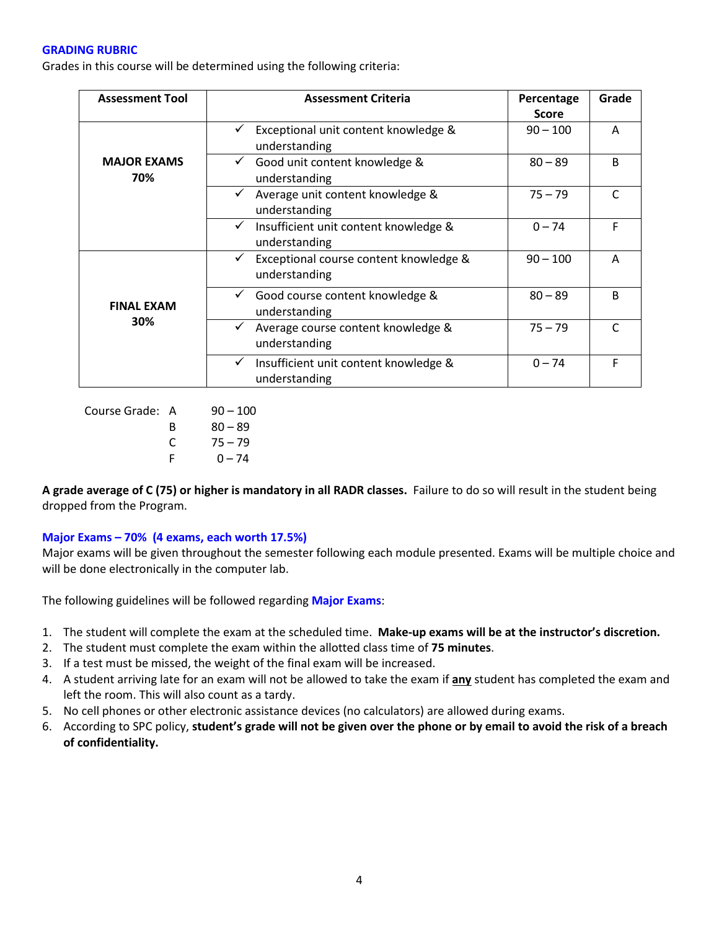#### **GRADING RUBRIC**

Grades in this course will be determined using the following criteria:

| <b>Assessment Tool</b>    | <b>Assessment Criteria</b>                                              | Percentage   | Grade        |
|---------------------------|-------------------------------------------------------------------------|--------------|--------------|
|                           |                                                                         | <b>Score</b> |              |
| <b>MAJOR EXAMS</b><br>70% | Exceptional unit content knowledge &<br>understanding                   | $90 - 100$   | A            |
|                           | Good unit content knowledge &<br>$\checkmark$<br>understanding          | $80 - 89$    | B            |
|                           | Average unit content knowledge &<br>$\checkmark$<br>understanding       | $75 - 79$    | $\mathsf{C}$ |
|                           | ✓<br>Insufficient unit content knowledge &<br>understanding             | $0 - 74$     | F            |
| <b>FINAL EXAM</b><br>30%  | Exceptional course content knowledge &<br>$\checkmark$<br>understanding | $90 - 100$   | A            |
|                           | Good course content knowledge &<br>understanding                        | $80 - 89$    | B            |
|                           | Average course content knowledge &<br>✓<br>understanding                | $75 - 79$    |              |
|                           | Insufficient unit content knowledge &<br>✓<br>understanding             | $0 - 74$     | F            |

Course Grade: A 90 – 100 B 80 – 89  $C = 75 - 79$  $F = 0 - 74$ 

**A grade average of C (75) or higher is mandatory in all RADR classes.** Failure to do so will result in the student being dropped from the Program.

#### **Major Exams – 70% (4 exams, each worth 17.5%)**

Major exams will be given throughout the semester following each module presented. Exams will be multiple choice and will be done electronically in the computer lab.

The following guidelines will be followed regarding **Major Exams**:

- 1. The student will complete the exam at the scheduled time. **Make-up exams will be at the instructor's discretion.**
- 2. The student must complete the exam within the allotted class time of **75 minutes**.
- 3. If a test must be missed, the weight of the final exam will be increased.
- 4. A student arriving late for an exam will not be allowed to take the exam if **any** student has completed the exam and left the room. This will also count as a tardy.
- 5. No cell phones or other electronic assistance devices (no calculators) are allowed during exams.
- 6. According to SPC policy, **student's grade will not be given over the phone or by email to avoid the risk of a breach of confidentiality.**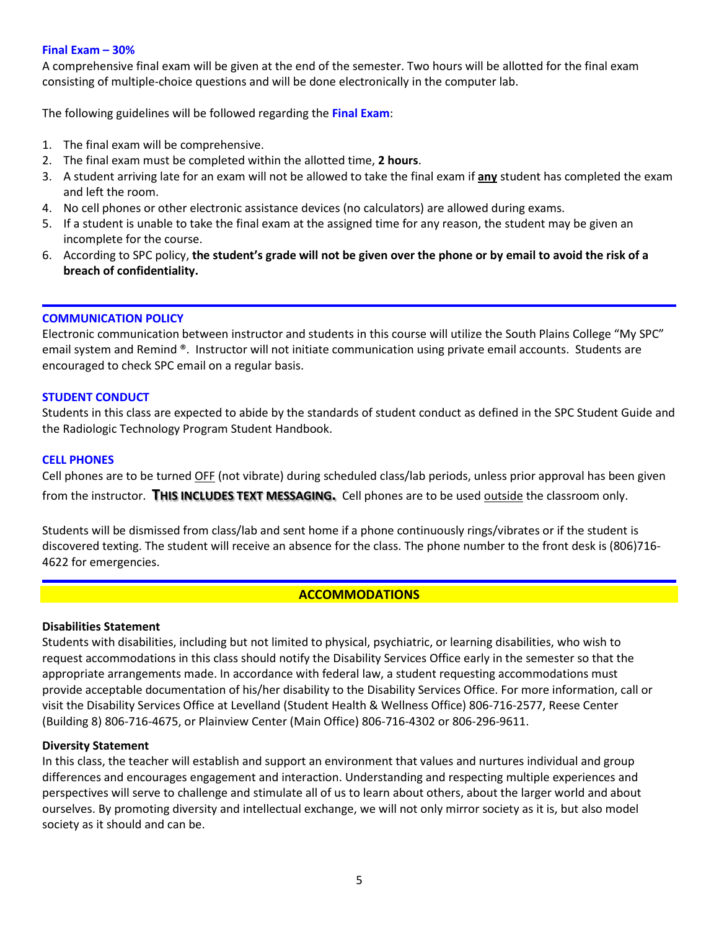#### **Final Exam – 30%**

A comprehensive final exam will be given at the end of the semester. Two hours will be allotted for the final exam consisting of multiple-choice questions and will be done electronically in the computer lab.

The following guidelines will be followed regarding the **Final Exam**:

- 1. The final exam will be comprehensive.
- 2. The final exam must be completed within the allotted time, **2 hours**.
- 3. A student arriving late for an exam will not be allowed to take the final exam if **any** student has completed the exam and left the room.
- 4. No cell phones or other electronic assistance devices (no calculators) are allowed during exams.
- 5. If a student is unable to take the final exam at the assigned time for any reason, the student may be given an incomplete for the course.
- 6. According to SPC policy, **the student's grade will not be given over the phone or by email to avoid the risk of a breach of confidentiality.**

#### **COMMUNICATION POLICY**

Electronic communication between instructor and students in this course will utilize the South Plains College "My SPC" email system and Remind ®. Instructor will not initiate communication using private email accounts. Students are encouraged to check SPC email on a regular basis.

#### **STUDENT CONDUCT**

Students in this class are expected to abide by the standards of student conduct as defined in the SPC Student Guide and the Radiologic Technology Program Student Handbook.

#### **CELL PHONES**

Cell phones are to be turned OFF (not vibrate) during scheduled class/lab periods, unless prior approval has been given from the instructor. **THIS INCLUDES TEXT MESSAGING.** Cell phones are to be used outside the classroom only.

Students will be dismissed from class/lab and sent home if a phone continuously rings/vibrates or if the student is discovered texting. The student will receive an absence for the class. The phone number to the front desk is (806)716- 4622 for emergencies.

#### **ACCOMMODATIONS**

#### **Disabilities Statement**

Students with disabilities, including but not limited to physical, psychiatric, or learning disabilities, who wish to request accommodations in this class should notify the Disability Services Office early in the semester so that the appropriate arrangements made. In accordance with federal law, a student requesting accommodations must provide acceptable documentation of his/her disability to the Disability Services Office. For more information, call or visit the Disability Services Office at Levelland (Student Health & Wellness Office) 806-716-2577, Reese Center (Building 8) 806-716-4675, or Plainview Center (Main Office) 806-716-4302 or 806-296-9611.

#### **Diversity Statement**

In this class, the teacher will establish and support an environment that values and nurtures individual and group differences and encourages engagement and interaction. Understanding and respecting multiple experiences and perspectives will serve to challenge and stimulate all of us to learn about others, about the larger world and about ourselves. By promoting diversity and intellectual exchange, we will not only mirror society as it is, but also model society as it should and can be.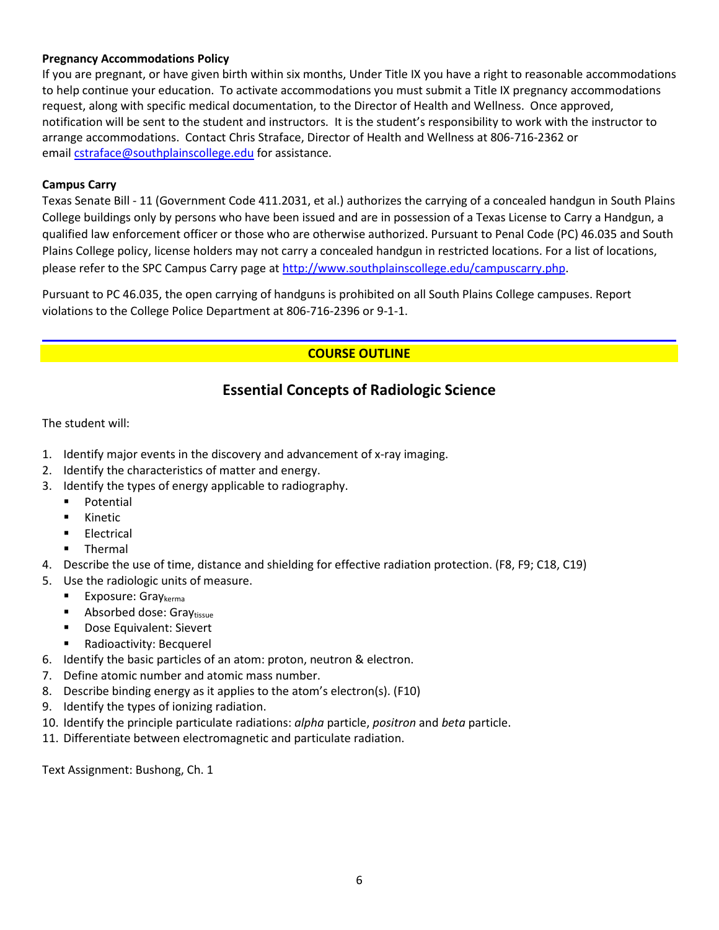#### **Pregnancy Accommodations Policy**

If you are pregnant, or have given birth within six months, Under Title IX you have a right to reasonable accommodations to help continue your education. To activate accommodations you must submit a Title IX pregnancy accommodations request, along with specific medical documentation, to the Director of Health and Wellness. Once approved, notification will be sent to the student and instructors. It is the student's responsibility to work with the instructor to arrange accommodations. Contact Chris Straface, Director of Health and Wellness at 806-716-2362 or email [cstraface@southplainscollege.edu](mailto:cstraface@southplainscollege.edu) for assistance.

#### **Campus Carry**

Texas Senate Bill - 11 (Government Code 411.2031, et al.) authorizes the carrying of a concealed handgun in South Plains College buildings only by persons who have been issued and are in possession of a Texas License to Carry a Handgun, a qualified law enforcement officer or those who are otherwise authorized. Pursuant to Penal Code (PC) 46.035 and South Plains College policy, license holders may not carry a concealed handgun in restricted locations. For a list of locations, please refer to the SPC Campus Carry page a[t http://www.southplainscollege.edu/campuscarry.php.](http://www.southplainscollege.edu/campuscarry.php)

Pursuant to PC 46.035, the open carrying of handguns is prohibited on all South Plains College campuses. Report violations to the College Police Department at 806-716-2396 or 9-1-1.

### **COURSE OUTLINE**

## **Essential Concepts of Radiologic Science**

The student will:

- 1. Identify major events in the discovery and advancement of x-ray imaging.
- 2. Identify the characteristics of matter and energy.
- 3. Identify the types of energy applicable to radiography.
	- **•** Potential
	- **Kinetic**
	- Electrical
	- **Thermal**
- 4. Describe the use of time, distance and shielding for effective radiation protection. (F8, F9; C18, C19)
- 5. Use the radiologic units of measure.
	- Exposure: Gray $k_{\text{erma}}$
	- $\blacksquare$  Absorbed dose: Graytissue
	- **Dose Equivalent: Sievert**
	- Radioactivity: Becquerel
- 6. Identify the basic particles of an atom: proton, neutron & electron.
- 7. Define atomic number and atomic mass number.
- 8. Describe binding energy as it applies to the atom's electron(s). (F10)
- 9. Identify the types of ionizing radiation.
- 10. Identify the principle particulate radiations: *alpha* particle, *positron* and *beta* particle.
- 11. Differentiate between electromagnetic and particulate radiation.

Text Assignment: Bushong, Ch. 1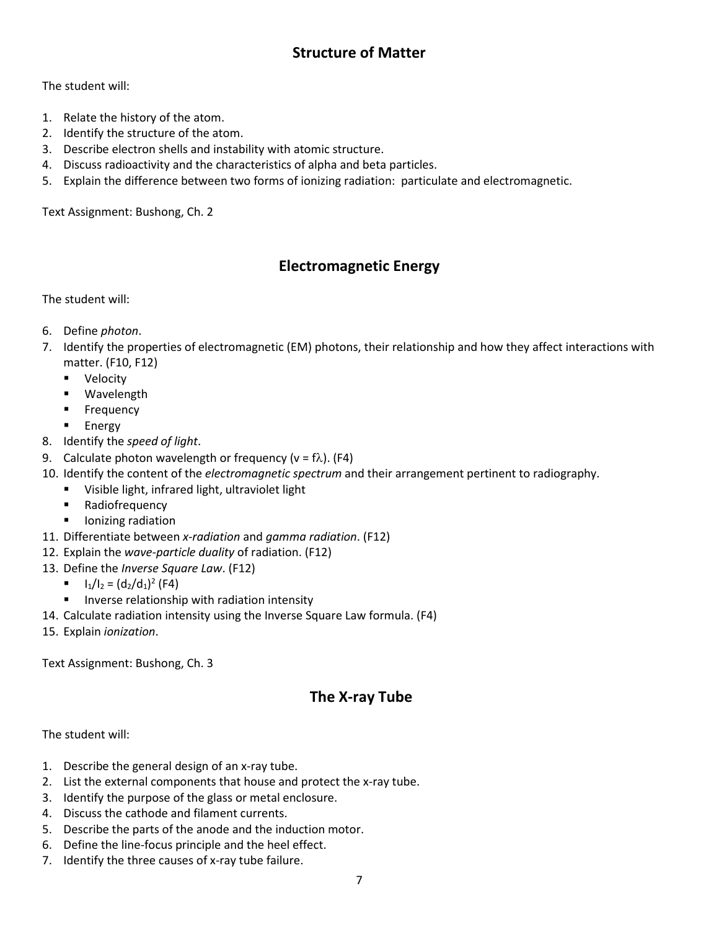## **Structure of Matter**

### The student will:

- 1. Relate the history of the atom.
- 2. Identify the structure of the atom.
- 3. Describe electron shells and instability with atomic structure.
- 4. Discuss radioactivity and the characteristics of alpha and beta particles.
- 5. Explain the difference between two forms of ionizing radiation: particulate and electromagnetic.

Text Assignment: Bushong, Ch. 2

## **Electromagnetic Energy**

### The student will:

- 6. Define *photon*.
- 7. Identify the properties of electromagnetic (EM) photons, their relationship and how they affect interactions with matter. (F10, F12)
	- **•** Velocity
	- **Wavelength**
	- **Frequency**
	- Energy
- 8. Identify the *speed of light*.
- 9. Calculate photon wavelength or frequency ( $v = f\lambda$ ). (F4)
- 10. Identify the content of the *electromagnetic spectrum* and their arrangement pertinent to radiography.
	- Visible light, infrared light, ultraviolet light
	- **Radiofrequency**
	- **I** lonizing radiation
- 11. Differentiate between *x-radiation* and *gamma radiation*. (F12)
- 12. Explain the *wave-particle duality* of radiation. (F12)
- 13. Define the *Inverse Square Law*. (F12)
	- $I_1/I_2 = (d_2/d_1)^2$  (F4)
	- **IF Inverse relationship with radiation intensity**
- 14. Calculate radiation intensity using the Inverse Square Law formula. (F4)
- 15. Explain *ionization*.

Text Assignment: Bushong, Ch. 3

# **The X-ray Tube**

- 1. Describe the general design of an x-ray tube.
- 2. List the external components that house and protect the x-ray tube.
- 3. Identify the purpose of the glass or metal enclosure.
- 4. Discuss the cathode and filament currents.
- 5. Describe the parts of the anode and the induction motor.
- 6. Define the line-focus principle and the heel effect.
- 7. Identify the three causes of x-ray tube failure.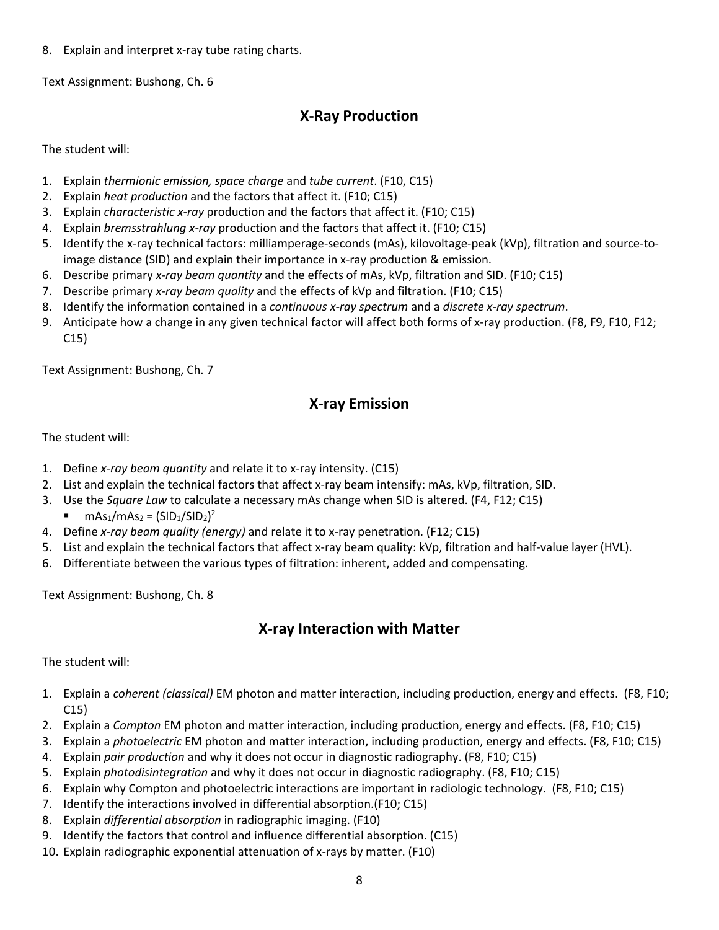8. Explain and interpret x-ray tube rating charts.

Text Assignment: Bushong, Ch. 6

## **X-Ray Production**

The student will:

- 1. Explain *thermionic emission, space charge* and *tube current*. (F10, C15)
- 2. Explain *heat production* and the factors that affect it. (F10; C15)
- 3. Explain *characteristic x-ray* production and the factors that affect it. (F10; C15)
- 4. Explain *bremsstrahlung x-ray* production and the factors that affect it. (F10; C15)
- 5. Identify the x-ray technical factors: milliamperage-seconds (mAs), kilovoltage-peak (kVp), filtration and source-toimage distance (SID) and explain their importance in x-ray production & emission.
- 6. Describe primary *x-ray beam quantity* and the effects of mAs, kVp, filtration and SID. (F10; C15)
- 7. Describe primary *x-ray beam quality* and the effects of kVp and filtration. (F10; C15)
- 8. Identify the information contained in a *continuous x-ray spectrum* and a *discrete x-ray spectrum*.
- 9. Anticipate how a change in any given technical factor will affect both forms of x-ray production. (F8, F9, F10, F12; C15)

Text Assignment: Bushong, Ch. 7

## **X-ray Emission**

The student will:

- 1. Define *x-ray beam quantity* and relate it to x-ray intensity. (C15)
- 2. List and explain the technical factors that affect x-ray beam intensify: mAs, kVp, filtration, SID.
- 3. Use the *Square Law* to calculate a necessary mAs change when SID is altered. (F4, F12; C15)
	- **m**  $\text{MS}_1/\text{mAs}_2 = (\text{SID}_1/\text{SID}_2)^2$
- 4. Define *x-ray beam quality (energy)* and relate it to x-ray penetration. (F12; C15)
- 5. List and explain the technical factors that affect x-ray beam quality: kVp, filtration and half-value layer (HVL).
- 6. Differentiate between the various types of filtration: inherent, added and compensating.

Text Assignment: Bushong, Ch. 8

## **X-ray Interaction with Matter**

- 1. Explain a *coherent (classical)* EM photon and matter interaction, including production, energy and effects. (F8, F10; C15)
- 2. Explain a *Compton* EM photon and matter interaction, including production, energy and effects. (F8, F10; C15)
- 3. Explain a *photoelectric* EM photon and matter interaction, including production, energy and effects. (F8, F10; C15)
- 4. Explain *pair production* and why it does not occur in diagnostic radiography. (F8, F10; C15)
- 5. Explain *photodisintegration* and why it does not occur in diagnostic radiography. (F8, F10; C15)
- 6. Explain why Compton and photoelectric interactions are important in radiologic technology. (F8, F10; C15)
- 7. Identify the interactions involved in differential absorption.(F10; C15)
- 8. Explain *differential absorption* in radiographic imaging. (F10)
- 9. Identify the factors that control and influence differential absorption. (C15)
- 10. Explain radiographic exponential attenuation of x-rays by matter. (F10)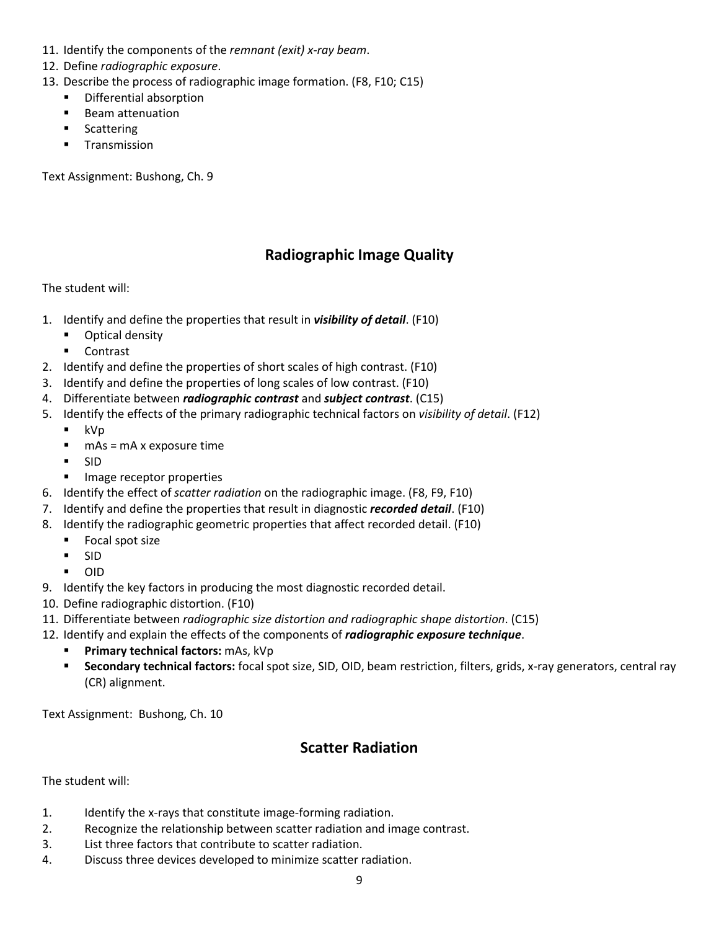- 11. Identify the components of the *remnant (exit) x-ray beam*.
- 12. Define *radiographic exposure*.
- 13. Describe the process of radiographic image formation. (F8, F10; C15)
	- **•** Differential absorption
	- **Beam attenuation**
	- Scattering
	- **Transmission**

Text Assignment: Bushong, Ch. 9

## **Radiographic Image Quality**

### The student will:

- 1. Identify and define the properties that result in *visibility of detail*. (F10)
	- **•** Optical density
	- **E** Contrast
- 2. Identify and define the properties of short scales of high contrast. (F10)
- 3. Identify and define the properties of long scales of low contrast. (F10)
- 4. Differentiate between *radiographic contrast* and *subject contrast*. (C15)
- 5. Identify the effects of the primary radiographic technical factors on *visibility of detail*. (F12)
	- kVp
	- $mAs = mA x$  exposure time
	- $\blacksquare$  SID
	- **IMage receptor properties**
- 6. Identify the effect of *scatter radiation* on the radiographic image. (F8, F9, F10)
- 7. Identify and define the properties that result in diagnostic *recorded detail*. (F10)
- 8. Identify the radiographic geometric properties that affect recorded detail. (F10)
	- **Focal spot size**
	- $-SID$
	- OID
- 9. Identify the key factors in producing the most diagnostic recorded detail.
- 10. Define radiographic distortion. (F10)
- 11. Differentiate between *radiographic size distortion and radiographic shape distortion*. (C15)
- 12. Identify and explain the effects of the components of *radiographic exposure technique*.
	- **Primary technical factors:** mAs, kVp
	- **Secondary technical factors:** focal spot size, SID, OID, beam restriction, filters, grids, x-ray generators, central ray (CR) alignment.

Text Assignment: Bushong, Ch. 10

## **Scatter Radiation**

- 1. Identify the x-rays that constitute image-forming radiation.
- 2. Recognize the relationship between scatter radiation and image contrast.
- 3. List three factors that contribute to scatter radiation.
- 4. Discuss three devices developed to minimize scatter radiation.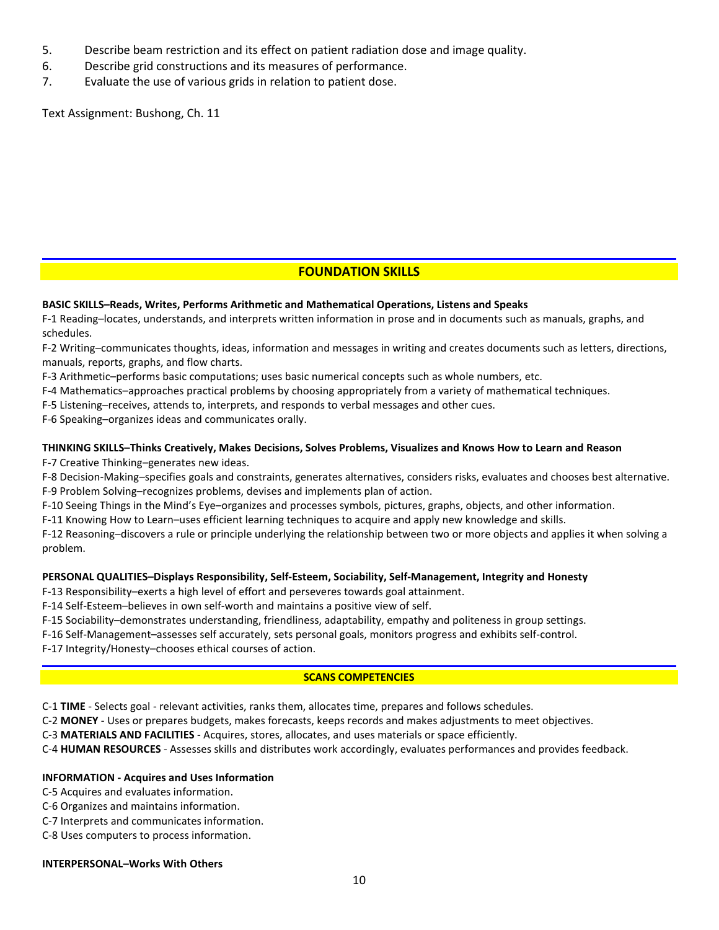- 5. Describe beam restriction and its effect on patient radiation dose and image quality.
- 6. Describe grid constructions and its measures of performance.
- 7. Evaluate the use of various grids in relation to patient dose.

Text Assignment: Bushong, Ch. 11

### **FOUNDATION SKILLS**

#### **BASIC SKILLS–Reads, Writes, Performs Arithmetic and Mathematical Operations, Listens and Speaks**

F-1 Reading–locates, understands, and interprets written information in prose and in documents such as manuals, graphs, and schedules.

F-2 Writing–communicates thoughts, ideas, information and messages in writing and creates documents such as letters, directions, manuals, reports, graphs, and flow charts.

F-3 Arithmetic–performs basic computations; uses basic numerical concepts such as whole numbers, etc.

F-4 Mathematics–approaches practical problems by choosing appropriately from a variety of mathematical techniques.

F-5 Listening–receives, attends to, interprets, and responds to verbal messages and other cues.

F-6 Speaking–organizes ideas and communicates orally.

### **THINKING SKILLS–Thinks Creatively, Makes Decisions, Solves Problems, Visualizes and Knows How to Learn and Reason**

F-7 Creative Thinking–generates new ideas.

F-8 Decision-Making–specifies goals and constraints, generates alternatives, considers risks, evaluates and chooses best alternative. F-9 Problem Solving–recognizes problems, devises and implements plan of action.

F-10 Seeing Things in the Mind's Eye–organizes and processes symbols, pictures, graphs, objects, and other information.

F-11 Knowing How to Learn–uses efficient learning techniques to acquire and apply new knowledge and skills.

F-12 Reasoning–discovers a rule or principle underlying the relationship between two or more objects and applies it when solving a problem.

#### **PERSONAL QUALITIES–Displays Responsibility, Self-Esteem, Sociability, Self-Management, Integrity and Honesty**

F-13 Responsibility–exerts a high level of effort and perseveres towards goal attainment.

F-14 Self-Esteem–believes in own self-worth and maintains a positive view of self.

F-15 Sociability–demonstrates understanding, friendliness, adaptability, empathy and politeness in group settings.

F-16 Self-Management–assesses self accurately, sets personal goals, monitors progress and exhibits self-control.

F-17 Integrity/Honesty–chooses ethical courses of action.

#### **SCANS COMPETENCIES**

C-1 **TIME** - Selects goal - relevant activities, ranks them, allocates time, prepares and follows schedules.

C-2 **MONEY** - Uses or prepares budgets, makes forecasts, keeps records and makes adjustments to meet objectives.

C-3 **MATERIALS AND FACILITIES** - Acquires, stores, allocates, and uses materials or space efficiently.

C-4 **HUMAN RESOURCES** - Assesses skills and distributes work accordingly, evaluates performances and provides feedback.

#### **INFORMATION - Acquires and Uses Information**

C-5 Acquires and evaluates information.

- C-6 Organizes and maintains information.
- C-7 Interprets and communicates information.

C-8 Uses computers to process information.

#### **INTERPERSONAL–Works With Others**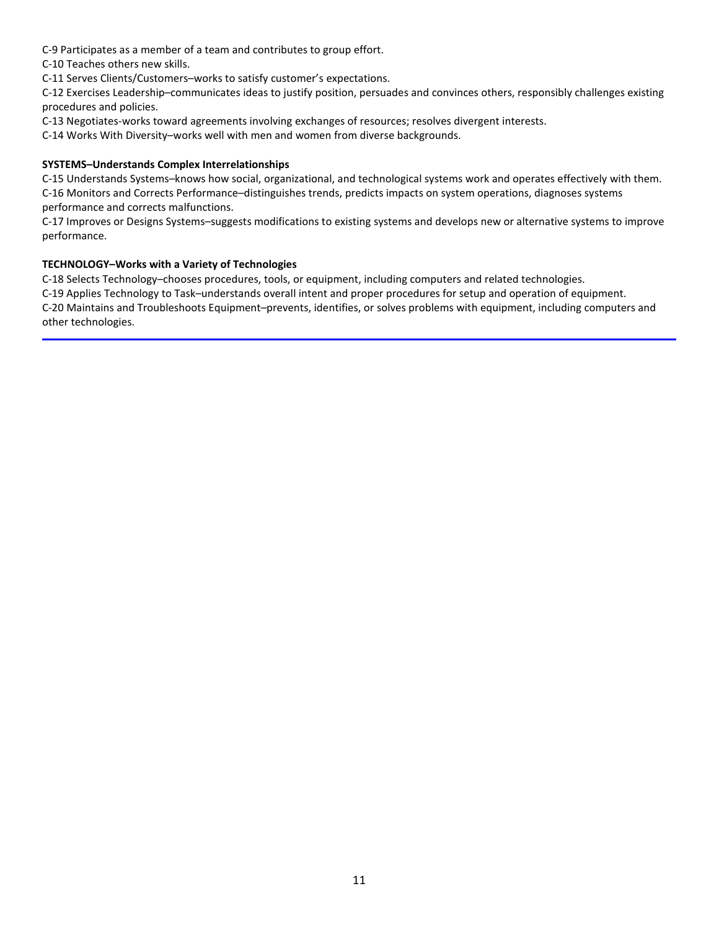C-9 Participates as a member of a team and contributes to group effort.

C-10 Teaches others new skills.

C-11 Serves Clients/Customers–works to satisfy customer's expectations.

C-12 Exercises Leadership–communicates ideas to justify position, persuades and convinces others, responsibly challenges existing procedures and policies.

C-13 Negotiates-works toward agreements involving exchanges of resources; resolves divergent interests.

C-14 Works With Diversity–works well with men and women from diverse backgrounds.

#### **SYSTEMS–Understands Complex Interrelationships**

C-15 Understands Systems–knows how social, organizational, and technological systems work and operates effectively with them. C-16 Monitors and Corrects Performance–distinguishes trends, predicts impacts on system operations, diagnoses systems performance and corrects malfunctions.

C-17 Improves or Designs Systems–suggests modifications to existing systems and develops new or alternative systems to improve performance.

#### **TECHNOLOGY–Works with a Variety of Technologies**

C-18 Selects Technology–chooses procedures, tools, or equipment, including computers and related technologies.

C-19 Applies Technology to Task–understands overall intent and proper procedures for setup and operation of equipment. C-20 Maintains and Troubleshoots Equipment–prevents, identifies, or solves problems with equipment, including computers and other technologies.